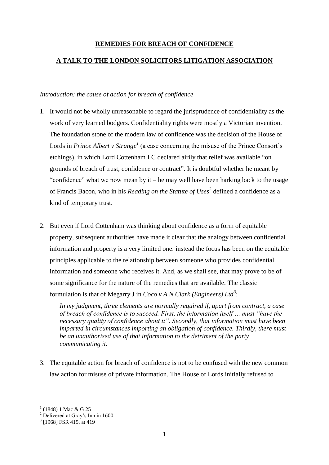# **REMEDIES FOR BREACH OF CONFIDENCE**

## **A TALK TO THE LONDON SOLICITORS LITIGATION ASSOCIATION**

#### *Introduction: the cause of action for breach of confidence*

- 1. It would not be wholly unreasonable to regard the jurisprudence of confidentiality as the work of very learned bodgers. Confidentiality rights were mostly a Victorian invention. The foundation stone of the modern law of confidence was the decision of the House of Lords in *Prince Albert v Strange*<sup>1</sup> (a case concerning the misuse of the Prince Consort's etchings), in which Lord Cottenham LC declared airily that relief was available "on grounds of breach of trust, confidence or contract". It is doubtful whether he meant by "confidence" what we now mean by it – he may well have been harking back to the usage of Francis Bacon, who in his *Reading on the Statute of Uses<sup>2</sup>* defined a confidence as a kind of temporary trust.
- 2. But even if Lord Cottenham was thinking about confidence as a form of equitable property, subsequent authorities have made it clear that the analogy between confidential information and property is a very limited one: instead the focus has been on the equitable principles applicable to the relationship between someone who provides confidential information and someone who receives it. And, as we shall see, that may prove to be of some significance for the nature of the remedies that are available. The classic formulation is that of Megarry J in *Coco v A.N.Clark (Engineers) Ltd<sup>3</sup>* :

*In my judgment, three elements are normally required if, apart from contract, a case of breach of confidence is to succeed. First, the information itself … must "have the necessary quality of confidence about it". Secondly, that information must have been imparted in circumstances importing an obligation of confidence. Thirdly, there must be an unauthorised use of that information to the detriment of the party communicating it.*

3. The equitable action for breach of confidence is not to be confused with the new common law action for misuse of private information. The House of Lords initially refused to

<u>.</u>

<sup>1</sup> (1848) 1 Mac & G 25

 $2$  Delivered at Gray's Inn in 1600

<sup>&</sup>lt;sup>3</sup> [1968] FSR 415, at 419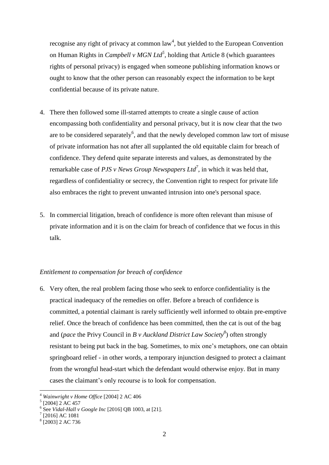recognise any right of privacy at common  $law<sup>4</sup>$ , but yielded to the European Convention on Human Rights in *Campbell v MGN Ltd<sup>5</sup>* , holding that Article 8 (which guarantees rights of personal privacy) is engaged when someone publishing information knows or ought to know that the other person can reasonably expect the information to be kept confidential because of its private nature.

- 4. There then followed some ill-starred attempts to create a single cause of action encompassing both confidentiality and personal privacy, but it is now clear that the two are to be considered separately<sup>6</sup>, and that the newly developed common law tort of misuse of private information has not after all supplanted the old equitable claim for breach of confidence. They defend quite separate interests and values, as demonstrated by the remarkable case of *PJS v News Group Newspapers Ltd<sup>7</sup>* , in which it was held that, regardless of confidentiality or secrecy, the Convention right to respect for private life also embraces the right to prevent unwanted intrusion into one's personal space.
- 5. In commercial litigation, breach of confidence is more often relevant than misuse of private information and it is on the claim for breach of confidence that we focus in this talk.

## *Entitlement to compensation for breach of confidence*

6. Very often, the real problem facing those who seek to enforce confidentiality is the practical inadequacy of the remedies on offer. Before a breach of confidence is committed, a potential claimant is rarely sufficiently well informed to obtain pre-emptive relief. Once the breach of confidence has been committed, then the cat is out of the bag and (*pace* the Privy Council in *B v Auckland District Law Society<sup>8</sup>* ) often strongly resistant to being put back in the bag. Sometimes, to mix one's metaphors, one can obtain springboard relief - in other words, a temporary injunction designed to protect a claimant from the wrongful head-start which the defendant would otherwise enjoy. But in many cases the claimant's only recourse is to look for compensation.

<u>.</u>

<sup>4</sup> *Wainwright v Home Office* [2004] 2 AC 406

 $<sup>5</sup>$  [2004] 2 AC 457</sup>

<sup>6</sup> See *Vidal-Hall v Google Inc* [2016] QB 1003, at [21].

<sup>7</sup> [2016] AC 1081

<sup>8</sup> [2003] 2 AC 736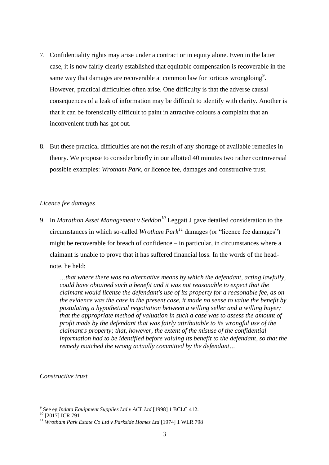- 7. Confidentiality rights may arise under a contract or in equity alone. Even in the latter case, it is now fairly clearly established that equitable compensation is recoverable in the same way that damages are recoverable at common law for tortious wrongdoing<sup>9</sup>. However, practical difficulties often arise. One difficulty is that the adverse causal consequences of a leak of information may be difficult to identify with clarity. Another is that it can be forensically difficult to paint in attractive colours a complaint that an inconvenient truth has got out.
- 8. But these practical difficulties are not the result of any shortage of available remedies in theory. We propose to consider briefly in our allotted 40 minutes two rather controversial possible examples: *Wrotham Park*, or licence fee, damages and constructive trust.

### *Licence fee damages*

9. In *Marathon Asset Management v Seddon<sup>10</sup>* Leggatt J gave detailed consideration to the circumstances in which so-called *Wrotham Park<sup>11</sup>* damages (or "licence fee damages") might be recoverable for breach of confidence – in particular, in circumstances where a claimant is unable to prove that it has suffered financial loss. In the words of the headnote, he held:

*…that where there was no alternative means by which the defendant, acting lawfully, could have obtained such a benefit and it was not reasonable to expect that the claimant would license the defendant's use of its property for a reasonable fee, as on the evidence was the case in the present case, it made no sense to value the benefit by postulating a hypothetical negotiation between a willing seller and a willing buyer; that the appropriate method of valuation in such a case was to assess the amount of profit made by the defendant that was fairly attributable to its wrongful use of the claimant's property; that, however, the extent of the misuse of the confidential information had to be identified before valuing its benefit to the defendant, so that the remedy matched the wrong actually committed by the defendant…*

*Constructive trust*

 9 See eg *Indata Equipment Supplies Ltd v ACL Ltd* [1998] 1 BCLC 412.

 $10$  [2017] ICR 791

<sup>11</sup> *Wrotham Park Estate Co Ltd v Parkside Homes Ltd* [1974] 1 WLR 798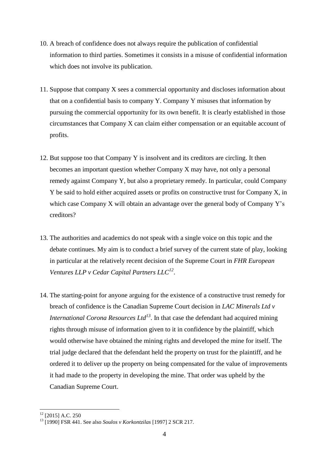- 10. A breach of confidence does not always require the publication of confidential information to third parties. Sometimes it consists in a misuse of confidential information which does not involve its publication.
- 11. Suppose that company X sees a commercial opportunity and discloses information about that on a confidential basis to company Y. Company Y misuses that information by pursuing the commercial opportunity for its own benefit. It is clearly established in those circumstances that Company X can claim either compensation or an equitable account of profits.
- 12. But suppose too that Company Y is insolvent and its creditors are circling. It then becomes an important question whether Company X may have, not only a personal remedy against Company Y, but also a proprietary remedy. In particular, could Company Y be said to hold either acquired assets or profits on constructive trust for Company X, in which case Company X will obtain an advantage over the general body of Company Y's creditors?
- 13. The authorities and academics do not speak with a single voice on this topic and the debate continues. My aim is to conduct a brief survey of the current state of play, looking in particular at the relatively recent decision of the Supreme Court in *FHR European Ventures LLP v Cedar Capital Partners LLC<sup>12</sup>* .
- 14. The starting-point for anyone arguing for the existence of a constructive trust remedy for breach of confidence is the Canadian Supreme Court decision in *LAC Minerals Ltd v International Corona Resources Ltd<sup>13</sup>* . In that case the defendant had acquired mining rights through misuse of information given to it in confidence by the plaintiff, which would otherwise have obtained the mining rights and developed the mine for itself. The trial judge declared that the defendant held the property on trust for the plaintiff, and he ordered it to deliver up the property on being compensated for the value of improvements it had made to the property in developing the mine. That order was upheld by the Canadian Supreme Court.

 $12$  [2015] A.C. 250

<sup>13</sup> [1990] FSR 441. See also *Soulos v Korkontzilas* [1997] 2 SCR 217.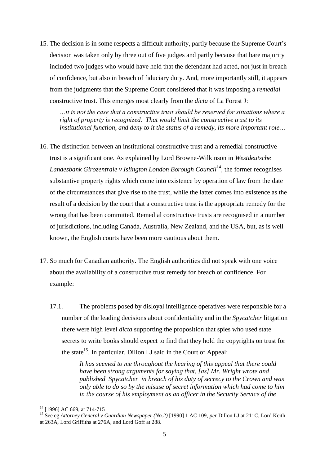15. The decision is in some respects a difficult authority, partly because the Supreme Court's decision was taken only by three out of five judges and partly because that bare majority included two judges who would have held that the defendant had acted, not just in breach of confidence, but also in breach of fiduciary duty. And, more importantly still, it appears from the judgments that the Supreme Court considered that it was imposing a *remedial* constructive trust. This emerges most clearly from the *dicta* of La Forest J:

*…it is not the case that a constructive trust should be reserved for situations where a right of property is recognized. That would limit the constructive trust to its institutional function, and deny to it the status of a remedy, its more important role…*

- 16. The distinction between an institutional constructive trust and a remedial constructive trust is a significant one. As explained by Lord Browne-Wilkinson in *Westdeutsche*  Landesbank Girozentrale v Islington London Borough Council<sup>14</sup>, the former recognises substantive property rights which come into existence by operation of law from the date of the circumstances that give rise to the trust, while the latter comes into existence as the result of a decision by the court that a constructive trust is the appropriate remedy for the wrong that has been committed. Remedial constructive trusts are recognised in a number of jurisdictions, including Canada, Australia, New Zealand, and the USA, but, as is well known, the English courts have been more cautious about them.
- 17. So much for Canadian authority. The English authorities did not speak with one voice about the availability of a constructive trust remedy for breach of confidence. For example:
	- 17.1. The problems posed by disloyal intelligence operatives were responsible for a number of the leading decisions about confidentiality and in the *Spycatcher* litigation there were high level *dicta* supporting the proposition that spies who used state secrets to write books should expect to find that they hold the copyrights on trust for the state<sup>15</sup>. In particular, Dillon LJ said in the Court of Appeal:

*It has seemed to me throughout the hearing of this appeal that there could have been strong arguments for saying that, [as] Mr. Wright wrote and published Spycatcher in breach of his duty of secrecy to the Crown and was only able to do so by the misuse of secret information which had come to him in the course of his employment as an officer in the Security Service of the* 

<u>.</u>

<sup>&</sup>lt;sup>14</sup> [1996] AC 669, at 714-715

<sup>15</sup> See eg *Attorney General v Guardian Newspaper (No.2)* [1990] 1 AC 109, *per* Dillon LJ at 211C, Lord Keith at 263A, Lord Griffiths at 276A, and Lord Goff at 288.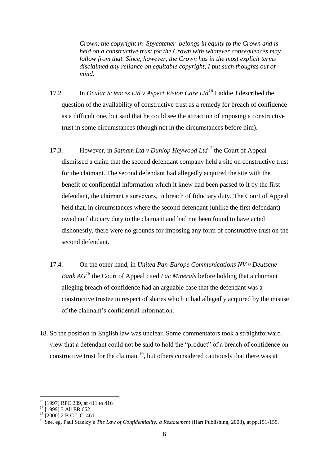*Crown, the copyright in Spycatcher belongs in equity to the Crown and is held on a constructive trust for the Crown with whatever consequences may follow from that. Since, however, the Crown has in the most explicit terms disclaimed any reliance on equitable copyright, I put such thoughts out of mind.*

- 17.2. In *Ocular Sciences Ltd v Aspect Vision Care Ltd<sup>16</sup>* Laddie J described the question of the availability of constructive trust as a remedy for breach of confidence as a difficult one, but said that he could see the attraction of imposing a constructive trust in some circumstances (though not in the circumstances before him).
- 17.3. However, in *Satnam Ltd v Dunlop Heywood Ltd<sup>17</sup>* the Court of Appeal dismissed a claim that the second defendant company held a site on constructive trust for the claimant. The second defendant had allegedly acquired the site with the benefit of confidential information which it knew had been passed to it by the first defendant, the claimant's surveyors, in breach of fiduciary duty. The Court of Appeal held that, in circumstances where the second defendant (unlike the first defendant) owed no fiduciary duty to the claimant and had not been found to have acted dishonestly, there were no grounds for imposing any form of constructive trust on the second defendant.
- 17.4. On the other hand, in *United Pan-Europe Communications NV v Deutsche Bank AG<sup>18</sup>* the Court of Appeal cited *Lac Minerals* before holding that a claimant alleging breach of confidence had an arguable case that the defendant was a constructive trustee in respect of shares which it had allegedly acquired by the misuse of the claimant's confidential information.
- 18. So the position in English law was unclear. Some commentators took a straightforward view that a defendant could not be said to hold the "product" of a breach of confidence on constructive trust for the claimant<sup>19</sup>, but others considered cautiously that there was at

<sup>16</sup> [1997] RPC 289, at 411 to 416

<sup>&</sup>lt;sup>17</sup> [1999] 3 All ER 652

<sup>&</sup>lt;sup>18</sup> [2000] 2 B.C.L.C. 461

<sup>19</sup> See, eg, Paul Stanley's *The Law of Confidentiality: a Restatement* (Hart Publishing, 2008), at pp.151-155.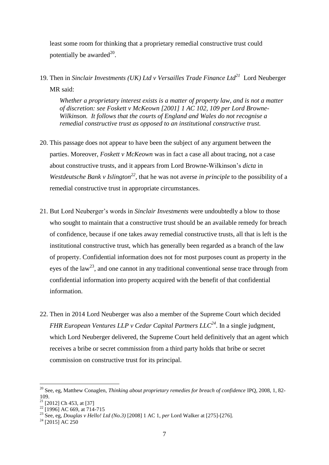least some room for thinking that a proprietary remedial constructive trust could potentially be awarded $^{20}$ .

19. Then in *Sinclair Investments (UK) Ltd v Versailles Trade Finance Ltd<sup>21</sup>* Lord Neuberger MR said:

*Whether a proprietary interest exists is a matter of property law, and is not a matter of discretion: see Foskett v McKeown [2001] 1 AC 102, 109 per Lord Browne-Wilkinson. It follows that the courts of England and Wales do not recognise a remedial constructive trust as opposed to an institutional constructive trust.*

- 20. This passage does not appear to have been the subject of any argument between the parties. Moreover, *Foskett v McKeown* was in fact a case all about tracing, not a case about constructive trusts, and it appears from Lord Browne-Wilkinson's *dicta* in *Westdeutsche Bank v Islington<sup>22</sup>* , that he was not averse *in principle* to the possibility of a remedial constructive trust in appropriate circumstances.
- 21. But Lord Neuberger's words in *Sinclair Investments* were undoubtedly a blow to those who sought to maintain that a constructive trust should be an available remedy for breach of confidence, because if one takes away remedial constructive trusts, all that is left is the institutional constructive trust, which has generally been regarded as a branch of the law of property. Confidential information does not for most purposes count as property in the eyes of the law<sup>23</sup>, and one cannot in any traditional conventional sense trace through from confidential information into property acquired with the benefit of that confidential information.
- 22. Then in 2014 Lord Neuberger was also a member of the Supreme Court which decided *FHR European Ventures LLP v Cedar Capital Partners LLC<sup>24</sup>*. In a single judgment, which Lord Neuberger delivered, the Supreme Court held definitively that an agent which receives a bribe or secret commission from a third party holds that bribe or secret commission on constructive trust for its principal.

<sup>20</sup> See, eg, Matthew Conaglen, *Thinking about proprietary remedies for breach of confidence* IPQ, 2008, 1, 82- 109.

 $21$  [2012] Ch 453, at [37]

 $^{22}$  [1996] AC 669, at 714-715

<sup>23</sup> See, eg, *Douglas v Hello! Ltd (No.3)* [2008] 1 AC 1, *per* Lord Walker at [275]-[276].

 $24$  [2015] AC 250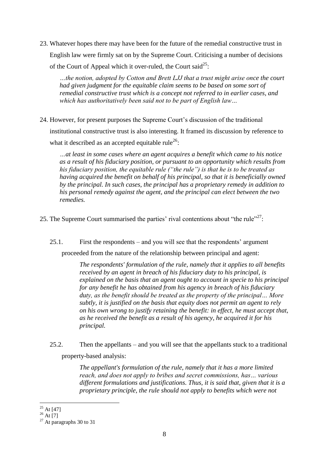23. Whatever hopes there may have been for the future of the remedial constructive trust in English law were firmly sat on by the Supreme Court. Criticising a number of decisions of the Court of Appeal which it over-ruled, the Court said<sup>25</sup>:

*…the notion, adopted by Cotton and Brett LJJ that a trust might arise once the court had given judgment for the equitable claim seems to be based on some sort of remedial constructive trust which is a concept not referred to in earlier cases, and which has authoritatively been said not to be part of English law…*

24. However, for present purposes the Supreme Court's discussion of the traditional institutional constructive trust is also interesting. It framed its discussion by reference to

what it described as an accepted equitable rule<sup>26</sup>:

*…at least in some cases where an agent acquires a benefit which came to his notice as a result of his fiduciary position, or pursuant to an opportunity which results from his fiduciary position, the equitable rule ("the rule") is that he is to be treated as having acquired the benefit on behalf of his principal, so that it is beneficially owned by the principal. In such cases, the principal has a proprietary remedy in addition to his personal remedy against the agent, and the principal can elect between the two remedies.*

25. The Supreme Court summarised the parties' rival contentions about "the rule"<sup>27</sup>:

25.1. First the respondents – and you will see that the respondents' argument

proceeded from the nature of the relationship between principal and agent:

*The respondents' formulation of the rule, namely that it applies to all benefits received by an agent in breach of his fiduciary duty to his principal, is explained on the basis that an agent ought to account in specie to his principal for any benefit he has obtained from his agency in breach of his fiduciary duty, as the benefit should be treated as the property of the principal… More subtly, it is justified on the basis that equity does not permit an agent to rely on his own wrong to justify retaining the benefit: in effect, he must accept that, as he received the benefit as a result of his agency, he acquired it for his principal.*

25.2. Then the appellants – and you will see that the appellants stuck to a traditional property-based analysis:

> *The appellant's formulation of the rule, namely that it has a more limited reach, and does not apply to bribes and secret commissions, has… various different formulations and justifications. Thus, it is said that, given that it is a proprietary principle, the rule should not apply to benefits which were not*

<sup>&</sup>lt;u>.</u>  $25$  At [47]

 $^{26}$  At [7]

 $27$  At paragraphs 30 to 31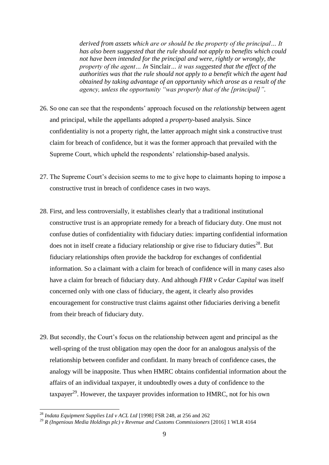*derived from assets which are or should be the property of the principal… It has also been suggested that the rule should not apply to benefits which could not have been intended for the principal and were, rightly or wrongly, the property of the agent… In* Sinclair*… it was suggested that the effect of the authorities was that the rule should not apply to a benefit which the agent had obtained by taking advantage of an opportunity which arose as a result of the agency, unless the opportunity "was properly that of the [principal]".*

- 26. So one can see that the respondents' approach focused on the *relationship* between agent and principal, while the appellants adopted a *property*-based analysis. Since confidentiality is not a property right, the latter approach might sink a constructive trust claim for breach of confidence, but it was the former approach that prevailed with the Supreme Court, which upheld the respondents' relationship-based analysis.
- 27. The Supreme Court's decision seems to me to give hope to claimants hoping to impose a constructive trust in breach of confidence cases in two ways.
- 28. First, and less controversially, it establishes clearly that a traditional institutional constructive trust is an appropriate remedy for a breach of fiduciary duty. One must not confuse duties of confidentiality with fiduciary duties: imparting confidential information does not in itself create a fiduciary relationship or give rise to fiduciary duties $^{28}$ . But fiduciary relationships often provide the backdrop for exchanges of confidential information. So a claimant with a claim for breach of confidence will in many cases also have a claim for breach of fiduciary duty. And although *FHR v Cedar Capital* was itself concerned only with one class of fiduciary, the agent, it clearly also provides encouragement for constructive trust claims against other fiduciaries deriving a benefit from their breach of fiduciary duty.
- 29. But secondly, the Court's focus on the relationship between agent and principal as the well-spring of the trust obligation may open the door for an analogous analysis of the relationship between confider and confidant. In many breach of confidence cases, the analogy will be inapposite. Thus when HMRC obtains confidential information about the affairs of an individual taxpayer, it undoubtedly owes a duty of confidence to the taxpayer<sup>29</sup>. However, the taxpayer provides information to HMRC, not for his own

<sup>28</sup> *Indata Equipment Supplies Ltd v ACL Ltd* [1998] FSR 248, at 256 and 262

<sup>29</sup> *R (Ingenious Media Holdings plc) v Revenue and Customs Commissioners* [2016] 1 WLR 4164